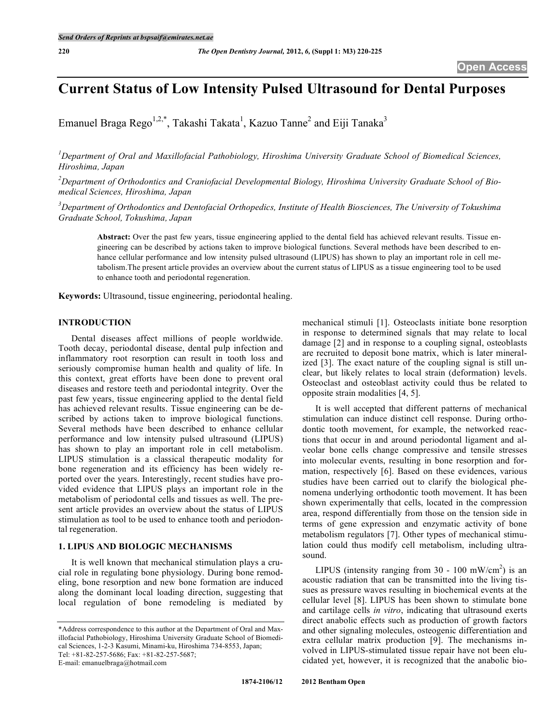# **Current Status of Low Intensity Pulsed Ultrasound for Dental Purposes**

Emanuel Braga Rego<sup>1,2,\*</sup>, Takashi Takata<sup>1</sup>, Kazuo Tanne<sup>2</sup> and Eiji Tanaka<sup>3</sup>

*1 Department of Oral and Maxillofacial Pathobiology, Hiroshima University Graduate School of Biomedical Sciences, Hiroshima, Japan*

*2 Department of Orthodontics and Craniofacial Developmental Biology, Hiroshima University Graduate School of Biomedical Sciences, Hiroshima, Japan*

*3 Department of Orthodontics and Dentofacial Orthopedics, Institute of Health Biosciences, The University of Tokushima Graduate School, Tokushima, Japan*

**Abstract:** Over the past few years, tissue engineering applied to the dental field has achieved relevant results. Tissue engineering can be described by actions taken to improve biological functions. Several methods have been described to enhance cellular performance and low intensity pulsed ultrasound (LIPUS) has shown to play an important role in cell metabolism.The present article provides an overview about the current status of LIPUS as a tissue engineering tool to be used to enhance tooth and periodontal regeneration.

**Keywords:** Ultrasound, tissue engineering, periodontal healing.

# **INTRODUCTION**

Dental diseases affect millions of people worldwide. Tooth decay, periodontal disease, dental pulp infection and inflammatory root resorption can result in tooth loss and seriously compromise human health and quality of life. In this context, great efforts have been done to prevent oral diseases and restore teeth and periodontal integrity. Over the past few years, tissue engineering applied to the dental field has achieved relevant results. Tissue engineering can be described by actions taken to improve biological functions. Several methods have been described to enhance cellular performance and low intensity pulsed ultrasound (LIPUS) has shown to play an important role in cell metabolism. LIPUS stimulation is a classical therapeutic modality for bone regeneration and its efficiency has been widely reported over the years. Interestingly, recent studies have provided evidence that LIPUS plays an important role in the metabolism of periodontal cells and tissues as well. The present article provides an overview about the status of LIPUS stimulation as tool to be used to enhance tooth and periodontal regeneration.

#### **1. LIPUS AND BIOLOGIC MECHANISMS**

It is well known that mechanical stimulation plays a crucial role in regulating bone physiology. During bone remodeling, bone resorption and new bone formation are induced along the dominant local loading direction, suggesting that local regulation of bone remodeling is mediated by

E-mail: emanuelbraga@hotmail.com

mechanical stimuli [1]. Osteoclasts initiate bone resorption in response to determined signals that may relate to local damage [2] and in response to a coupling signal, osteoblasts are recruited to deposit bone matrix, which is later mineralized [3]. The exact nature of the coupling signal is still unclear, but likely relates to local strain (deformation) levels. Osteoclast and osteoblast activity could thus be related to opposite strain modalities [4, 5].

It is well accepted that different patterns of mechanical stimulation can induce distinct cell response. During orthodontic tooth movement, for example, the networked reactions that occur in and around periodontal ligament and alveolar bone cells change compressive and tensile stresses into molecular events, resulting in bone resorption and formation, respectively [6]. Based on these evidences, various studies have been carried out to clarify the biological phenomena underlying orthodontic tooth movement. It has been shown experimentally that cells, located in the compression area, respond differentially from those on the tension side in terms of gene expression and enzymatic activity of bone metabolism regulators [7]. Other types of mechanical stimulation could thus modify cell metabolism, including ultrasound.

LIPUS (intensity ranging from 30 - 100 mW/cm<sup>2</sup>) is an acoustic radiation that can be transmitted into the living tissues as pressure waves resulting in biochemical events at the cellular level [8]. LIPUS has been shown to stimulate bone and cartilage cells *in vitro*, indicating that ultrasound exerts direct anabolic effects such as production of growth factors and other signaling molecules, osteogenic differentiation and extra cellular matrix production [9]. The mechanisms involved in LIPUS-stimulated tissue repair have not been elucidated yet, however, it is recognized that the anabolic bio-

<sup>\*</sup>Address correspondence to this author at the Department of Oral and Maxillofacial Pathobiology, Hiroshima University Graduate School of Biomedical Sciences, 1-2-3 Kasumi, Minami-ku, Hiroshima 734-8553, Japan; Tel: +81-82-257-5686; Fax: +81-82-257-5687;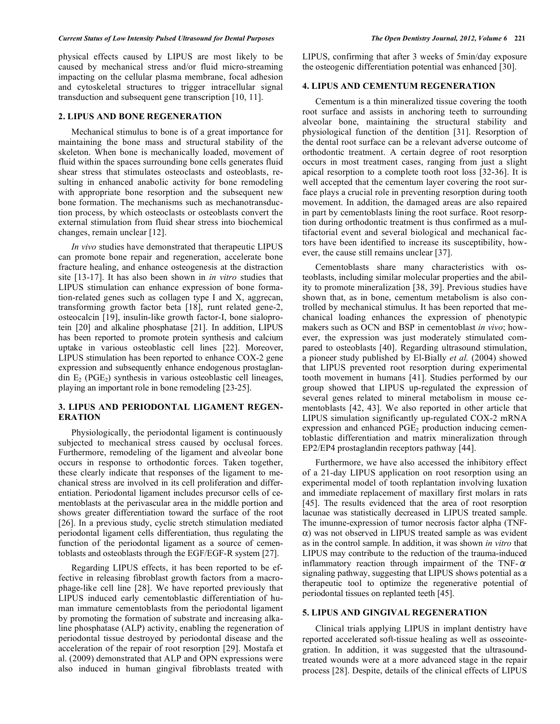physical effects caused by LIPUS are most likely to be caused by mechanical stress and/or fluid micro-streaming impacting on the cellular plasma membrane, focal adhesion and cytoskeletal structures to trigger intracellular signal transduction and subsequent gene transcription [10, 11].

# **2. LIPUS AND BONE REGENERATION**

Mechanical stimulus to bone is of a great importance for maintaining the bone mass and structural stability of the skeleton. When bone is mechanically loaded, movement of fluid within the spaces surrounding bone cells generates fluid shear stress that stimulates osteoclasts and osteoblasts, resulting in enhanced anabolic activity for bone remodeling with appropriate bone resorption and the subsequent new bone formation. The mechanisms such as mechanotransduction process, by which osteoclasts or osteoblasts convert the external stimulation from fluid shear stress into biochemical changes, remain unclear [12].

*In vivo* studies have demonstrated that therapeutic LIPUS can promote bone repair and regeneration, accelerate bone fracture healing, and enhance osteogenesis at the distraction site [13-17]. It has also been shown in *in vitro* studies that LIPUS stimulation can enhance expression of bone formation-related genes such as collagen type I and X, aggrecan, transforming growth factor beta [18], runt related gene-2, osteocalcin [19], insulin-like growth factor-I, bone sialoprotein [20] and alkaline phosphatase [21]. In addition, LIPUS has been reported to promote protein synthesis and calcium uptake in various osteoblastic cell lines [22]. Moreover, LIPUS stimulation has been reported to enhance COX-2 gene expression and subsequently enhance endogenous prostaglandin  $E_2$  (PGE<sub>2</sub>) synthesis in various osteoblastic cell lineages, playing an important role in bone remodeling [23-25].

# **3. LIPUS AND PERIODONTAL LIGAMENT REGEN-ERATION**

Physiologically, the periodontal ligament is continuously subjected to mechanical stress caused by occlusal forces. Furthermore, remodeling of the ligament and alveolar bone occurs in response to orthodontic forces. Taken together, these clearly indicate that responses of the ligament to mechanical stress are involved in its cell proliferation and differentiation. Periodontal ligament includes precursor cells of cementoblasts at the perivascular area in the middle portion and shows greater differentiation toward the surface of the root [26]. In a previous study, cyclic stretch stimulation mediated periodontal ligament cells differentiation, thus regulating the function of the periodontal ligament as a source of cementoblasts and osteoblasts through the EGF/EGF-R system [27].

Regarding LIPUS effects, it has been reported to be effective in releasing fibroblast growth factors from a macrophage-like cell line [28]. We have reported previously that LIPUS induced early cementoblastic differentiation of human immature cementoblasts from the periodontal ligament by promoting the formation of substrate and increasing alkaline phosphatase (ALP) activity, enabling the regeneration of periodontal tissue destroyed by periodontal disease and the acceleration of the repair of root resorption [29]. Mostafa et al. (2009) demonstrated that ALP and OPN expressions were also induced in human gingival fibroblasts treated with

LIPUS, confirming that after 3 weeks of 5min/day exposure the osteogenic differentiation potential was enhanced [30].

## **4. LIPUS AND CEMENTUM REGENERATION**

Cementum is a thin mineralized tissue covering the tooth root surface and assists in anchoring teeth to surrounding alveolar bone, maintaining the structural stability and physiological function of the dentition [31]. Resorption of the dental root surface can be a relevant adverse outcome of orthodontic treatment. A certain degree of root resorption occurs in most treatment cases, ranging from just a slight apical resorption to a complete tooth root loss [32-36]. It is well accepted that the cementum layer covering the root surface plays a crucial role in preventing resorption during tooth movement. In addition, the damaged areas are also repaired in part by cementoblasts lining the root surface. Root resorption during orthodontic treatment is thus confirmed as a multifactorial event and several biological and mechanical factors have been identified to increase its susceptibility, however, the cause still remains unclear [37].

Cementoblasts share many characteristics with osteoblasts, including similar molecular properties and the ability to promote mineralization [38, 39]. Previous studies have shown that, as in bone, cementum metabolism is also controlled by mechanical stimulus. It has been reported that mechanical loading enhances the expression of phenotypic makers such as OCN and BSP in cementoblast *in vivo*; however, the expression was just moderately stimulated compared to osteoblasts [40]. Regarding ultrasound stimulation, a pioneer study published by El-Bially *et al.* (2004) showed that LIPUS prevented root resorption during experimental tooth movement in humans [41]. Studies performed by our group showed that LIPUS up-regulated the expression of several genes related to mineral metabolism in mouse cementoblasts [42, 43]. We also reported in other article that LIPUS simulation significantly up-regulated COX-2 mRNA expression and enhanced  $PGE_2$  production inducing cementoblastic differentiation and matrix mineralization through EP2/EP4 prostaglandin receptors pathway [44].

Furthermore, we have also accessed the inhibitory effect of a 21-day LIPUS application on root resorption using an experimental model of tooth replantation involving luxation and immediate replacement of maxillary first molars in rats [45]. The results evidenced that the area of root resorption lacunae was statistically decreased in LIPUS treated sample. The imunne-expression of tumor necrosis factor alpha (TNF-  $\alpha$ ) was not observed in LIPUS treated sample as was evident as in the control sample. In addition, it was shown *in vitro* that LIPUS may contribute to the reduction of the trauma-induced inflammatory reaction through impairment of the TNF- $\alpha$ signaling pathway, suggesting that LIPUS shows potential as a therapeutic tool to optimize the regenerative potential of periodontal tissues on replanted teeth [45].

## **5. LIPUS AND GINGIVAL REGENERATION**

Clinical trials applying LIPUS in implant dentistry have reported accelerated soft-tissue healing as well as osseointegration. In addition, it was suggested that the ultrasoundtreated wounds were at a more advanced stage in the repair process [28]. Despite, details of the clinical effects of LIPUS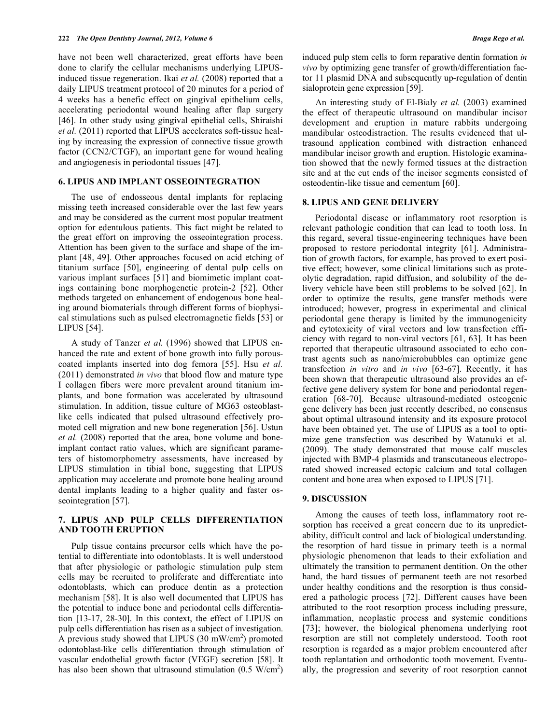have not been well characterized, great efforts have been done to clarify the cellular mechanisms underlying LIPUSinduced tissue regeneration. Ikai *et al.* (2008) reported that a daily LIPUS treatment protocol of 20 minutes for a period of 4 weeks has a benefic effect on gingival epithelium cells, accelerating periodontal wound healing after flap surgery [46]. In other study using gingival epithelial cells, Shiraishi *et al.* (2011) reported that LIPUS accelerates soft-tissue healing by increasing the expression of connective tissue growth factor (CCN2/CTGF), an important gene for wound healing and angiogenesis in periodontal tissues [47].

# **6. LIPUS AND IMPLANT OSSEOINTEGRATION**

The use of endosseous dental implants for replacing missing teeth increased considerable over the last few years and may be considered as the current most popular treatment option for edentulous patients. This fact might be related to the great effort on improving the osseointegration process. Attention has been given to the surface and shape of the implant [48, 49]. Other approaches focused on acid etching of titanium surface [50], engineering of dental pulp cells on various implant surfaces [51] and biomimetic implant coatings containing bone morphogenetic protein-2 [52]. Other methods targeted on enhancement of endogenous bone healing around biomaterials through different forms of biophysical stimulations such as pulsed electromagnetic fields [53] or LIPUS [54].

A study of Tanzer *et al.* (1996) showed that LIPUS enhanced the rate and extent of bone growth into fully porouscoated implants inserted into dog femora [55]. Hsu *et al.* (2011) demonstrated *in vivo* that blood flow and mature type I collagen fibers were more prevalent around titanium implants, and bone formation was accelerated by ultrasound stimulation. In addition, tissue culture of MG63 osteoblastlike cells indicated that pulsed ultrasound effectively promoted cell migration and new bone regeneration [56]. Ustun *et al.* (2008) reported that the area, bone volume and boneimplant contact ratio values, which are significant parameters of histomorphometry assessments, have increased by LIPUS stimulation in tibial bone, suggesting that LIPUS application may accelerate and promote bone healing around dental implants leading to a higher quality and faster osseointegration [57].

# **7. LIPUS AND PULP CELLS DIFFERENTIATION AND TOOTH ERUPTION**

Pulp tissue contains precursor cells which have the potential to differentiate into odontoblasts. It is well understood that after physiologic or pathologic stimulation pulp stem cells may be recruited to proliferate and differentiate into odontoblasts, which can produce dentin as a protection mechanism [58]. It is also well documented that LIPUS has the potential to induce bone and periodontal cells differentiation [13-17, 28-30]. In this context, the effect of LIPUS on pulp cells differentiation has risen as a subject of investigation. A previous study showed that LIPUS  $(30 \text{ mW/cm}^2)$  promoted odontoblast-like cells differentiation through stimulation of vascular endothelial growth factor (VEGF) secretion [58]. It has also been shown that ultrasound stimulation  $(0.5 \text{ W/cm}^2)$ 

induced pulp stem cells to form reparative dentin formation *in vivo* by optimizing gene transfer of growth/differentiation factor 11 plasmid DNA and subsequently up-regulation of dentin sialoprotein gene expression [59].

An interesting study of El-Bialy *et al.* (2003) examined the effect of therapeutic ultrasound on mandibular incisor development and eruption in mature rabbits undergoing mandibular osteodistraction. The results evidenced that ultrasound application combined with distraction enhanced mandibular incisor growth and eruption. Histologic examination showed that the newly formed tissues at the distraction site and at the cut ends of the incisor segments consisted of osteodentin-like tissue and cementum [60].

## **8. LIPUS AND GENE DELIVERY**

Periodontal disease or inflammatory root resorption is relevant pathologic condition that can lead to tooth loss. In this regard, several tissue-engineering techniques have been proposed to restore periodontal integrity [61]. Administration of growth factors, for example, has proved to exert positive effect; however, some clinical limitations such as proteolytic degradation, rapid diffusion, and solubility of the delivery vehicle have been still problems to be solved [62]. In order to optimize the results, gene transfer methods were introduced; however, progress in experimental and clinical periodontal gene therapy is limited by the immunogenicity and cytotoxicity of viral vectors and low transfection efficiency with regard to non-viral vectors [61, 63]. It has been reported that therapeutic ultrasound associated to echo contrast agents such as nano/microbubbles can optimize gene transfection *in vitro* and *in vivo* [63-67]. Recently, it has been shown that therapeutic ultrasound also provides an effective gene delivery system for bone and periodontal regeneration [68-70]. Because ultrasound-mediated osteogenic gene delivery has been just recently described, no consensus about optimal ultrasound intensity and its exposure protocol have been obtained yet. The use of LIPUS as a tool to optimize gene transfection was described by Watanuki et al. (2009). The study demonstrated that mouse calf muscles injected with BMP-4 plasmids and transcutaneous electroporated showed increased ectopic calcium and total collagen content and bone area when exposed to LIPUS [71].

## **9. DISCUSSION**

Among the causes of teeth loss, inflammatory root resorption has received a great concern due to its unpredictability, difficult control and lack of biological understanding. the resorption of hard tissue in primary teeth is a normal physiologic phenomenon that leads to their exfoliation and ultimately the transition to permanent dentition. On the other hand, the hard tissues of permanent teeth are not resorbed under healthy conditions and the resorption is thus considered a pathologic process [72]. Different causes have been attributed to the root resorption process including pressure, inflammation, neoplastic process and systemic conditions [73]; however, the biological phenomena underlying root resorption are still not completely understood. Tooth root resorption is regarded as a major problem encountered after tooth replantation and orthodontic tooth movement. Eventually, the progression and severity of root resorption cannot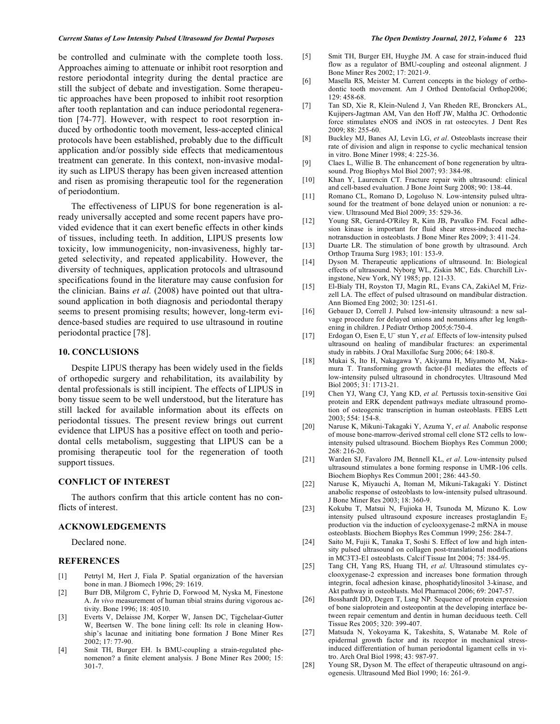#### Current Status of Low Intensity Pulsed Ultrasound for Dental Purposes The Open Dentistry Journal, 2012, Volume 6 223

be controlled and culminate with the complete tooth loss. Approaches aiming to attenuate or inhibit root resorption and restore periodontal integrity during the dental practice are still the subject of debate and investigation. Some therapeutic approaches have been proposed to inhibit root resorption after tooth replantation and can induce periodontal regeneration [74-77]. However, with respect to root resorption induced by orthodontic tooth movement, less-accepted clinical protocols have been established, probably due to the difficult application and/or possibly side effects that medicamentous treatment can generate. In this context, non-invasive modality such as LIPUS therapy has been given increased attention and risen as promising therapeutic tool for the regeneration of periodontium.

The effectiveness of LIPUS for bone regeneration is already universally accepted and some recent papers have provided evidence that it can exert benefic effects in other kinds of tissues, including teeth. In addition, LIPUS presents low toxicity, low immunogenicity, non-invasiveness, highly targeted selectivity, and repeated applicability. However, the diversity of techniques, application protocols and ultrasound specifications found in the literature may cause confusion for the clinician. Bains *et al.* (2008) have pointed out that ultrasound application in both diagnosis and periodontal therapy seems to present promising results; however, long-term evidence-based studies are required to use ultrasound in routine periodontal practice [78].

## **10. CONCLUSIONS**

Despite LIPUS therapy has been widely used in the fields of orthopedic surgery and rehabilitation, its availability by dental professionals is still incipient. The effects of LIPUS in bony tissue seem to be well understood, but the literature has still lacked for available information about its effects on periodontal tissues. The present review brings out current evidence that LIPUS has a positive effect on tooth and periodontal cells metabolism, suggesting that LIPUS can be a promising therapeutic tool for the regeneration of tooth support tissues.

# **CONFLICT OF INTEREST**

The authors confirm that this article content has no conflicts of interest.

#### **ACKNOWLEDGEMENTS**

Declared none.

#### **REFERENCES**

- [1] Petrtyl M, Hert J, Fiala P. Spatial organization of the haversian bone in man. J Biomech 1996; 29: 1619.
- [2] Burr DB, Milgrom C, Fyhrie D, Forwood M, Nyska M, Finestone A. *In vivo* measurement of human tibial strains during vigorous activity. Bone 1996; 18: 40510.
- [3] Everts V, Delaisse JM, Korper W, Jansen DC, Tigchelaar-Gutter W, Beertsen W. The bone lining cell: Its role in cleaning Howship's lacunae and initiating bone formation J Bone Miner Res 2002; 17: 77-90.
- [4] Smit TH, Burger EH. Is BMU-coupling a strain-regulated phenomenon? a finite element analysis. J Bone Miner Res 2000; 15: 301-7.
- [5] Smit TH, Burger EH, Huyghe JM. A case for strain-induced fluid flow as a regulator of BMU-coupling and osteonal alignment. J Bone Miner Res 2002; 17: 2021-9.
- [6] Masella RS, Meister M. Current concepts in the biology of orthodontic tooth movement. Am J Orthod Dentofacial Orthop2006; 129: 458-68.
- [7] Tan SD, Xie R, Klein-Nulend J, Van Rheden RE, Bronckers AL, Kujipers-Jagtman AM, Van den Hoff JW, Maltha JC. Orthodontic force stimulates eNOS and iNOS in rat osteocytes. J Dent Res 2009; 88: 255-60.
- [8] Buckley MJ, Banes AJ, Levin LG, *et al*. Osteoblasts increase their rate of division and align in response to cyclic mechanical tension in vitro. Bone Miner 1998; 4: 225-36.
- [9] Claes L, Willie B. The enhancement of bone regeneration by ultrasound. Prog Biophys Mol Biol 2007; 93: 384-98.
- [10] Khan Y, Laurencin CT. Fracture repair with ultrasound: clinical and cell-based evaluation. J Bone Joint Surg 2008; 90: 138-44.
- [11] Romano CL, Romano D, Logoluso N. Low-intensity pulsed ultrasound for the treatment of bone delayed union or nonunion: a review. Ultrasound Med Biol 2009; 35: 529-36.
- [12] Young SR, Gerard-O'Riley R, Kim JB, Pavalko FM. Focal adhesion kinase is important for fluid shear stress-induced mechanotransduction in osteoblasts. J Bone Miner Res 2009; 3: 411-24.
- [13] Duarte LR. The stimulation of bone growth by ultrasound. Arch Orthop Trauma Surg 1983; 101: 153-9.
- [14] Dyson M. Therapeutic applications of ultrasound. In: Biological effects of ultrasound. Nyborg WL, Ziskin MC, Eds. Churchill Livingstone, New York, NY 1985; pp. 121-33.
- [15] El-Bialy TH, Royston TJ, Magin RL, Evans CA, ZakiAel M, Frizzell LA. The effect of pulsed ultrasound on mandibular distraction. Ann Biomed Eng 2002; 30: 1251-61.
- [16] Gebauer D, Correll J. Pulsed low-intensity ultrasound: a new salvage procedure for delayed unions and nonunions after leg lengthening in children. J Pediatr Orthop 2005;6:750-4.
- [17] Erdogan O, Esen E, U¨ stun Y, *et al.* Effects of low-intensity pulsed ultrasound on healing of mandibular fractures: an experimental study in rabbits. J Oral Maxillofac Surg 2006; 64: 180-8.
- [18] Mukai S, Ito H, Nakagawa Y, Akiyama H, Miyamoto M, Nakamura T. Transforming growth factor-β1 mediates the effects of low-intensity pulsed ultrasound in chondrocytes. Ultrasound Med Biol 2005; 31: 1713-21.
- [19] Chen YJ, Wang CJ, Yang KD, *et al.* Pertussis toxin-sensitive Gαi protein and ERK dependent pathways mediate ultrasound promotion of osteogenic transcription in human osteoblasts. FEBS Lett 2003; 554: 154-8.
- [20] Naruse K, Mikuni-Takagaki Y, Azuma Y, *et al.* Anabolic response of mouse bone-marrow-derived stromal cell clone ST2 cells to lowintensity pulsed ultrasound. Biochem Biophys Res Commun 2000; 268: 216-20.
- [21] Warden SJ, Favaloro JM, Bennell KL, *et al*. Low-intensity pulsed ultrasound stimulates a bone forming response in UMR-106 cells. Biochem Biophys Res Commun 2001; 286: 443-50.
- [22] Naruse K, Miyauchi A, Itoman M, Mikuni-Takagaki Y. Distinct anabolic response of osteoblasts to low-intensity pulsed ultrasound. J Bone Miner Res 2003; 18: 360-9.
- [23] Kokubu T, Matsui N, Fujioka H, Tsunoda M, Mizuno K. Low intensity pulsed ultrasound exposure increases prostaglandin  $E_2$ production via the induction of cyclooxygenase-2 mRNA in mouse osteoblasts. Biochem Biophys Res Commun 1999; 256: 284-7.
- [24] Saito M, Fujii K, Tanaka T, Soshi S. Effect of low and high intensity pulsed ultrasound on collagen post-translational modifications in MC3T3-E1 osteoblasts. Calcif Tissue Int 2004; 75: 384-95.
- [25] Tang CH, Yang RS, Huang TH, *et al*. Ultrasound stimulates cyclooxygenase-2 expression and increases bone formation through integrin, focal adhesion kinase, phosphatidylinositol 3-kinase, and Akt pathway in osteoblasts. Mol Pharmacol 2006; 69: 2047-57.
- [26] Bosshardt DD, Degen T, Lsng NP. Sequence of protein expression of bone sialoprotein and osteopontin at the developing interface between repair cementum and dentin in human deciduous teeth. Cell Tissue Res 2005; 320: 399-407.
- [27] Matsuda N, Yokoyama K, Takeshita, S, Watanabe M. Role of epidermal growth factor and its receptor in mechanical stressinduced differentiation of human periodontal ligament cells in vitro. Arch Oral Biol 1998; 43: 987-97.
- [28] Young SR, Dyson M. The effect of therapeutic ultrasound on angiogenesis. Ultrasound Med Biol 1990; 16: 261-9.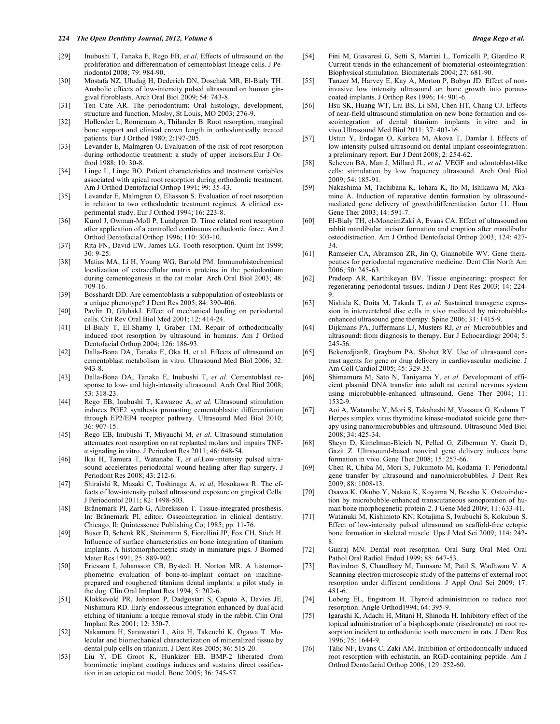- [29] Inubushi T, Tanaka E, Rego EB, *et al*. Effects of ultrasound on the proliferation and differentiation of cementoblast lineage cells. J Periodontol 2008; 79: 984-90.
- [30] Mostafa NZ, Uludağ H, Dederich DN, Doschak MR, El-Bialy TH. Anabolic effects of low-intensity pulsed ultrasound on human gingival fibroblasts. Arch Oral Biol 2009; 54: 743-8.
- [31] Ten Cate AR. The periodontium: Oral histology, development, structure and function. Mosby, St Louis, MO 2003; 276-9.
- [32] Hollender L, Ronneman A, Thilander B. Root resorption, marginal bone support and clinical crown length in orthodontically treated patients. Eur J Orthod 1980; 2:197-205.
- [33] Levander E, Malmgren O. Evaluation of the risk of root resorption during orthodontic treatment: a study of upper incisors.Eur J Orthod 1988; 10: 30-8.
- [34] Linge L, Linge BO. Patient characteristics and treatment variables associated with apical root resorption during orthodontic treatment. Am J Orthod Dentofacial Orthop 1991; 99: 35-43.
- [35] Levander E, Malmgren O, Eliasson S. Evaluation of root resorption in relation to two orthododntic treatment regimes. A clinical experimental study. Eur J Orthod 1994; 16: 223-8.
- [36] Kurol J, Owman-Moll P, Lundgren D. Time related root resorption after application of a controlled continuous orthodontic force. Am J Orthod Dentofacial Orthop 1996; 110: 303-10.
- [37] Rita FN, David EW, James LG. Tooth resorption. Quint Int 1999; 30: 9-25.
- [38] Matias MA, Li H, Young WG, Bartold PM. Immunohistochemical localization of extracellular matrix proteins in the periodontium during cementogenesis in the rat molar. Arch Oral Biol 2003; 48: 709-16.
- [39] Bosshardt DD. Are cementoblasts a subpopulation of osteoblasts or a unique phenotype? J Dent Res 2005; 84: 390-406.
- [40] Pavlin D, GluhakJ. Effect of mechanical loading on periodontal cells. Crit Rev Oral Biol Med 2001; 12: 414-24.
- [41] El-Bialy T, El-Shamy I, Graber TM. Repair of orthodontically induced root resorption by ultrasound in humans. Am J Orthod Dentofacial Orthop 2004; 126: 186-93.
- [42] Dalla-Bona DA, Tanaka E, Oka H, et al. Effects of ultrasound on cementoblast metabolism in vitro. Ultrasound Med Biol 2006; 32: 943-8.
- [43] Dalla-Bona DA, Tanaka E, Inubushi T, *et al.* Cementoblast response to low- and high-intensity ultrasound. Arch Oral Biol 2008; 53: 318-23.
- [44] Rego EB, Inubushi T, Kawazoe A, *et al*. Ultrasound stimulation induces PGE2 synthesis promoting cementoblastic differentiation through EP2/EP4 receptor pathway. Ultrasound Med Biol 2010; 36: 907-15.
- [45] Rego EB, Inubushi T, Miyauchi M, *et al*. Ultrasound stimulation attenuates root resorption on rat replanted molars and impairs TNF- $\alpha$  signaling in vitro. J Periodont Res 2011; 46: 648-54.
- [46] Ikai H, Tamura T, Watanabe T, *et al*.Low-intensity pulsed ultrasound accelerates periodontal wound healing after flap surgery. J Periodont Res 2008; 43: 212-6.
- [47] Shiraishi R, Masaki C, Toshinaga A, *et al*, Hosokawa R. The effects of low-intensity pulsed ultrasound exposure on gingival Cells. J Periodontol 2011; 82: 1498-503.
- [48] Brånemark PI, Zarb G, Albreksson T. Tissue-integrated prosthesis. In: Brånemark PI, editor. Osseointegration in clinical dentistry. Chicago, Il: Quintessence Publishing Co; 1985; pp. 11-76.
- [49] Buser D, Schenk RK, Steinmann S, Fiorellini JP, Fox CH, Stich H. Influence of surface characteristics on bone integration of titanium implants. A histomorphometric study in miniature pigs. J Biomed Mater Res 1991; 25: 889-902.
- [50] Ericsson I, Johansson CB, Bystedt H, Norton MR. A histomorphometric evaluation of bone-to-implant contact on machineprepared and roughened titanium dental implants: a pilot study in the dog. Clin Oral Implant Res 1994; 5: 202-6.
- [51] Klokkevold PR, Johnson P, Dadgostari S, Caputo A, Davies JE, Nishimura RD. Early endosseous integration enhanced by dual acid etching of titanium: a torque removal study in the rabbit. Clin Oral Implant Res 2001; 12: 350-7.
- [52] Nakamura H, Saruwatari L, Aita H, Takeuchi K, Ogawa T. Molecular and biomechanical characterization of mineralized tissue by dental pulp cells on titanium. J Dent Res 2005; 86: 515-20.
- [53] Liu Y, DE Groot K, Hunkizer EB. BMP-2 liberated from biomimetic implant coatings induces and sustains direct ossification in an ectopic rat model. Bone 2005; 36: 745-57.
- [54] Fini M, Giavaresi G, Setti S, Martini L, Torricelli P, Giardino R. Current trends in the enhancement of biomaterial osteointegration: Biophysical stimulation. Biomaterials 2004; 27: 681-90.
- [55] Tanzer M, Harvey E, Kay A, Morton P, Bobyn JD. Effect of noninvasive low intensity ultrasound on bone growth into porouscoated implants. J Orthop Res 1996; 14: 901-6.
- [56] Hsu SK, Huang WT, Liu BS, Li SM, Chen HT, Chang CJ. Effects of near-field ultrasound stimulation on new bone formation and osseointegration of dental titanium implants in vitro and in vivo.Ultrasound Med Biol 2011; 37: 403-16.
- [57] Ustun Y, Erdogan O, Kurkcu M, Akova T, Damlar I. Effects of low-intensity pulsed ultrasound on dental implant osseointegration: a preliminary report. Eur J Dent 2008; 2: 254-62.
- [58] Scheven BA, Man J, Millard JL, *et al*. VEGF and odontoblast-like cells: stimulation by low frequency ultrasound. Arch Oral Biol 2009; 54: 185-91.
- [59] Nakashima M, Tachibana K, Iohara K, Ito M, Ishikawa M, Akamine A. Induction of reparative dentin formation by ultrasoundmediated gene delivery of growth/differentiation factor 11. Hum Gene Ther 2003; 14: 591-7.
- [60] El-Bialy TH, el-MoneimZaki A, Evans CA. Effect of ultrasound on rabbit mandibular incisor formation and eruption after mandibular osteodistraction. Am J Orthod Dentofacial Orthop 2003; 124: 427- 34.
- [61] Ramseier CA, Abramson ZR, Jin Q, Giannobile WV. Gene therapeutics for periodontal regenerative medicine. Dent Clin North Am 2006; 50: 245-63.
- [62] Pradeep AR, Karthikeyan BV. Tissue engineering: prospect for regenerating periodontal tissues. Indian J Dent Res 2003; 14: 224- 9.
- [63] Nishida K, Doita M, Takada T, *et al*. Sustained transgene expression in intervertebral disc cells in vivo mediated by microbubbleenhanced ultrasound gene therapy. Spine 2006; 31: 1415-9.
- [64] Dijkmans PA, Juffermans LJ, Musters RJ, *et al.* Microbubbles and ultrasound: from diagnosis to therapy. Eur J Echocardiogr 2004; 5: 245-56.
- [65] BekeredjianR, Grayburn PA, Shohet RV. Use of ultrasound contrast agents for gene or drug delivery in cardiovascular medicine. J Am Coll Cardiol 2005; 45: 329-35.
- [66] Shimamura M, Sato N, Taniyama Y, *et al*. Development of efficient plasmid DNA transfer into adult rat central nervous system using microbubble-enhanced ultrasound. Gene Ther 2004; 11: 1532-9.
- [67] Aoi A, Watanabe Y, Mori S, Takahashi M, Vassaux G, Kodama T. Herpes simplex virus thymidine kinase-mediated suicide gene therapy using nano/microbubbles and ultrasound. Ultrasound Med Biol 2008; 34: 425-34.
- [68] Sheyn D, Kimelman-Bleich N, Pelled G, Zilberman Y, Gazit D, Gazit Z. Ultrasound-based nonviral gene delivery induces bone formation in vivo. Gene Ther 2008; 15: 257-66.
- [69] Chen R, Chiba M, Mori S, Fukumoto M, Kodama T. Periodontal gene transfer by ultrasound and nano/microbubbles. J Dent Res 2009; 88: 1008-13.
- [70] Osawa K, Okubo Y, Nakao K, Koyama N, Bessho K. Osteoinduction by microbubble-enhanced transcutaneous sonoporation of human bone morphogenetic protein-2. J Gene Med 2009; 11: 633-41.
- [71] Watanuki M, Kishimoto KN, Kotajima S, Iwabuchi S, Kokubun S. Effect of low-intensity pulsed ultrasound on scaffold-free ectopic bone formation in skeletal muscle. Ups J Med Sci 2009; 114: 242- 8.
- [72] Gunraj MN. Dental root resorption. Oral Surg Oral Med Oral Pathol Oral Radiol Endod 1999; 88: 647-53.
- [73] Ravindran S, Chaudhary M, Tumsare M, Patil S, Wadhwan V. A Scanning electron microscopic study of the patterns of external root resorption under different conditions. J Appl Oral Sci 2009; 17: 481-6.
- [74] Loberg EL, Engstrom H. Thyroid administration to reduce root resorption. Angle Orthod1994; 64: 395-9.
- [75] Igarashi K, Adachi H, Mitani H, Shinoda H. Inhibitory effect of the topical administration of a bisphosphonate (risedronate) on root resorption incident to orthodontic tooth movement in rats. J Dent Res 1996; 75: 1644-9.
- [76] Talic NF, Evans C, Zaki AM. Inhibition of orthodontically induced root resorption with echistatin, an RGD-containing peptide. Am J Orthod Dentofacial Orthop 2006; 129: 252-60.